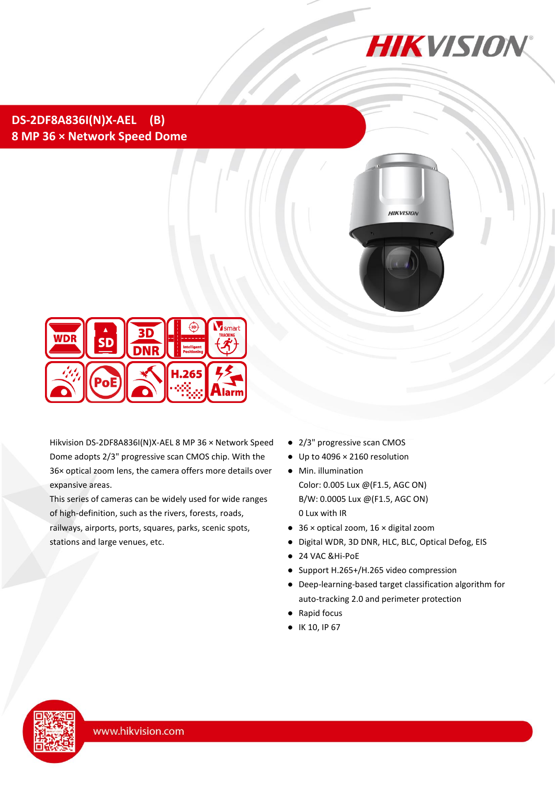

## **DS-2DF8A836I(N)X-AEL (B) 8 MP 36 × Network Speed Dome**





Hikvision DS-2DF8A836I(N)X-AEL 8 MP 36 × Network Speed Dome adopts 2/3" progressive scan CMOS chip. With the 36× optical zoom lens, the camera offers more details over expansive areas.

This series of cameras can be widely used for wide ranges of high-definition, such as the rivers, forests, roads, railways, airports, ports, squares, parks, scenic spots, stations and large venues, etc.

- 2/3" progressive scan CMOS
- Up to 4096 × 2160 resolution
- Min. illumination Color: 0.005 Lux @(F1.5, AGC ON) B/W: 0.0005 Lux @(F1.5, AGC ON) 0 Lux with IR
- 36 × optical zoom, 16 × digital zoom
- Digital WDR, 3D DNR, HLC, BLC, Optical Defog, EIS
- 24 VAC &Hi-PoE
- Support H.265+/H.265 video compression
- Deep-learning-based target classification algorithm for auto-tracking 2.0 and perimeter protection
- Rapid focus
- IK 10, IP 67

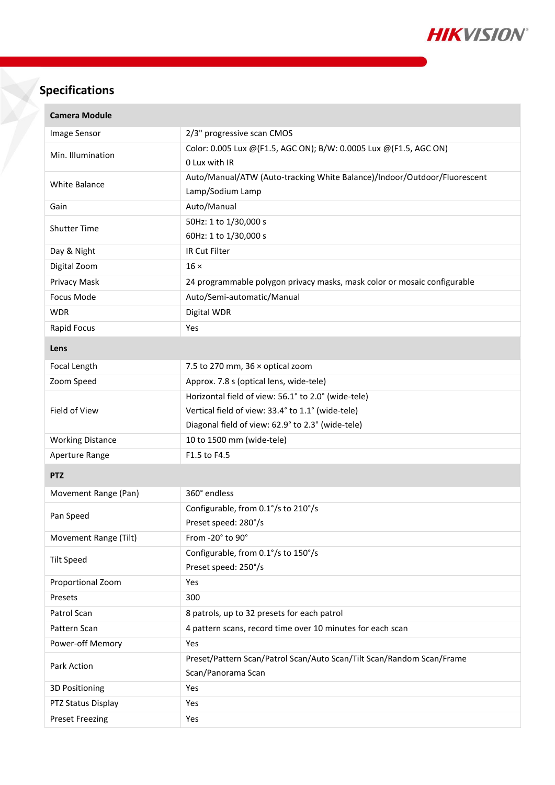

# **Specifications**

| <b>Camera Module</b>    |                                                                          |  |  |  |  |
|-------------------------|--------------------------------------------------------------------------|--|--|--|--|
| Image Sensor            | 2/3" progressive scan CMOS                                               |  |  |  |  |
| Min. Illumination       | Color: 0.005 Lux @(F1.5, AGC ON); B/W: 0.0005 Lux @(F1.5, AGC ON)        |  |  |  |  |
|                         | 0 Lux with IR                                                            |  |  |  |  |
| <b>White Balance</b>    | Auto/Manual/ATW (Auto-tracking White Balance)/Indoor/Outdoor/Fluorescent |  |  |  |  |
|                         | Lamp/Sodium Lamp                                                         |  |  |  |  |
| Gain                    | Auto/Manual                                                              |  |  |  |  |
| <b>Shutter Time</b>     | 50Hz: 1 to 1/30,000 s                                                    |  |  |  |  |
|                         | 60Hz: 1 to 1/30,000 s                                                    |  |  |  |  |
| Day & Night             | IR Cut Filter                                                            |  |  |  |  |
| Digital Zoom            | $16 \times$                                                              |  |  |  |  |
| Privacy Mask            | 24 programmable polygon privacy masks, mask color or mosaic configurable |  |  |  |  |
| Focus Mode              | Auto/Semi-automatic/Manual                                               |  |  |  |  |
| <b>WDR</b>              | Digital WDR                                                              |  |  |  |  |
| Rapid Focus             | Yes                                                                      |  |  |  |  |
| Lens                    |                                                                          |  |  |  |  |
| Focal Length            | 7.5 to 270 mm, 36 x optical zoom                                         |  |  |  |  |
| Zoom Speed              | Approx. 7.8 s (optical lens, wide-tele)                                  |  |  |  |  |
|                         | Horizontal field of view: 56.1° to 2.0° (wide-tele)                      |  |  |  |  |
| Field of View           | Vertical field of view: 33.4° to 1.1° (wide-tele)                        |  |  |  |  |
|                         | Diagonal field of view: 62.9° to 2.3° (wide-tele)                        |  |  |  |  |
| <b>Working Distance</b> | 10 to 1500 mm (wide-tele)                                                |  |  |  |  |
| Aperture Range          | F1.5 to F4.5                                                             |  |  |  |  |
| <b>PTZ</b>              |                                                                          |  |  |  |  |
| Movement Range (Pan)    | 360° endless                                                             |  |  |  |  |
| Pan Speed               | Configurable, from 0.1°/s to 210°/s                                      |  |  |  |  |
|                         | Preset speed: 280°/s                                                     |  |  |  |  |
| Movement Range (Tilt)   | From -20° to 90°                                                         |  |  |  |  |
| <b>Tilt Speed</b>       | Configurable, from 0.1°/s to 150°/s                                      |  |  |  |  |
|                         | Preset speed: 250°/s                                                     |  |  |  |  |
| Proportional Zoom       | Yes                                                                      |  |  |  |  |
| Presets                 | 300                                                                      |  |  |  |  |
| Patrol Scan             | 8 patrols, up to 32 presets for each patrol                              |  |  |  |  |
| Pattern Scan            | 4 pattern scans, record time over 10 minutes for each scan               |  |  |  |  |
| Power-off Memory        | Yes                                                                      |  |  |  |  |
| Park Action             | Preset/Pattern Scan/Patrol Scan/Auto Scan/Tilt Scan/Random Scan/Frame    |  |  |  |  |
|                         | Scan/Panorama Scan                                                       |  |  |  |  |
| 3D Positioning          | Yes                                                                      |  |  |  |  |
| PTZ Status Display      | Yes                                                                      |  |  |  |  |
| <b>Preset Freezing</b>  | Yes                                                                      |  |  |  |  |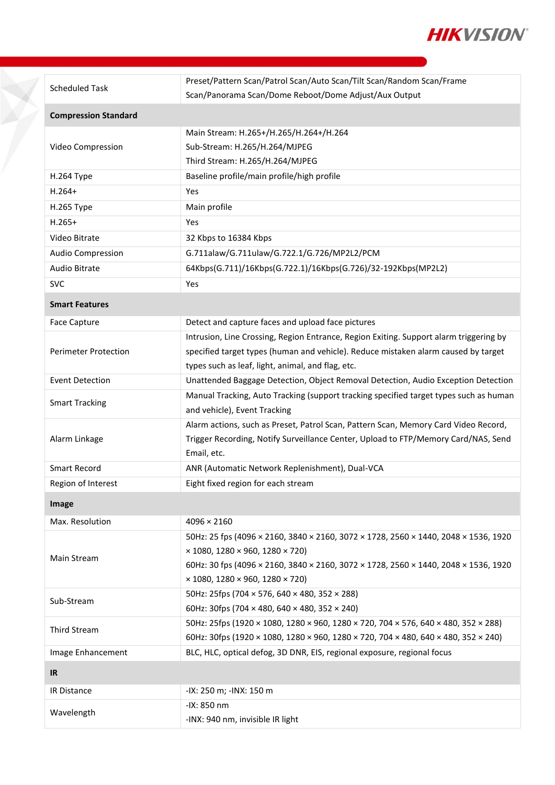

| <b>Scheduled Task</b>       | Preset/Pattern Scan/Patrol Scan/Auto Scan/Tilt Scan/Random Scan/Frame                  |  |  |  |  |
|-----------------------------|----------------------------------------------------------------------------------------|--|--|--|--|
|                             | Scan/Panorama Scan/Dome Reboot/Dome Adjust/Aux Output                                  |  |  |  |  |
| <b>Compression Standard</b> |                                                                                        |  |  |  |  |
|                             | Main Stream: H.265+/H.265/H.264+/H.264                                                 |  |  |  |  |
| Video Compression           | Sub-Stream: H.265/H.264/MJPEG                                                          |  |  |  |  |
|                             | Third Stream: H.265/H.264/MJPEG                                                        |  |  |  |  |
| H.264 Type                  | Baseline profile/main profile/high profile                                             |  |  |  |  |
| $H.264+$                    | Yes                                                                                    |  |  |  |  |
| H.265 Type                  | Main profile                                                                           |  |  |  |  |
| $H.265+$                    | Yes                                                                                    |  |  |  |  |
| Video Bitrate               | 32 Kbps to 16384 Kbps                                                                  |  |  |  |  |
| Audio Compression           | G.711alaw/G.711ulaw/G.722.1/G.726/MP2L2/PCM                                            |  |  |  |  |
| Audio Bitrate               | 64Kbps(G.711)/16Kbps(G.722.1)/16Kbps(G.726)/32-192Kbps(MP2L2)                          |  |  |  |  |
| <b>SVC</b>                  | Yes                                                                                    |  |  |  |  |
| <b>Smart Features</b>       |                                                                                        |  |  |  |  |
| <b>Face Capture</b>         | Detect and capture faces and upload face pictures                                      |  |  |  |  |
| <b>Perimeter Protection</b> | Intrusion, Line Crossing, Region Entrance, Region Exiting. Support alarm triggering by |  |  |  |  |
|                             | specified target types (human and vehicle). Reduce mistaken alarm caused by target     |  |  |  |  |
|                             | types such as leaf, light, animal, and flag, etc.                                      |  |  |  |  |
| <b>Event Detection</b>      | Unattended Baggage Detection, Object Removal Detection, Audio Exception Detection      |  |  |  |  |
| <b>Smart Tracking</b>       | Manual Tracking, Auto Tracking (support tracking specified target types such as human  |  |  |  |  |
|                             | and vehicle), Event Tracking                                                           |  |  |  |  |
|                             | Alarm actions, such as Preset, Patrol Scan, Pattern Scan, Memory Card Video Record,    |  |  |  |  |
| Alarm Linkage               | Trigger Recording, Notify Surveillance Center, Upload to FTP/Memory Card/NAS, Send     |  |  |  |  |
|                             | Email, etc.                                                                            |  |  |  |  |
| <b>Smart Record</b>         | ANR (Automatic Network Replenishment), Dual-VCA                                        |  |  |  |  |
| Region of Interest          | Eight fixed region for each stream                                                     |  |  |  |  |
| Image                       |                                                                                        |  |  |  |  |
| Max. Resolution             | $4096 \times 2160$                                                                     |  |  |  |  |
|                             | 50Hz: 25 fps (4096 × 2160, 3840 × 2160, 3072 × 1728, 2560 × 1440, 2048 × 1536, 1920    |  |  |  |  |
| Main Stream                 | $\times$ 1080, 1280 $\times$ 960, 1280 $\times$ 720)                                   |  |  |  |  |
|                             | 60Hz: 30 fps (4096 × 2160, 3840 × 2160, 3072 × 1728, 2560 × 1440, 2048 × 1536, 1920    |  |  |  |  |
|                             | $\times$ 1080, 1280 $\times$ 960, 1280 $\times$ 720)                                   |  |  |  |  |
| Sub-Stream                  | 50Hz: 25fps (704 × 576, 640 × 480, 352 × 288)                                          |  |  |  |  |
|                             | 60Hz: 30fps (704 $\times$ 480, 640 $\times$ 480, 352 $\times$ 240)                     |  |  |  |  |
| <b>Third Stream</b>         | 50Hz: 25fps (1920 × 1080, 1280 × 960, 1280 × 720, 704 × 576, 640 × 480, 352 × 288)     |  |  |  |  |
|                             | 60Hz: 30fps (1920 × 1080, 1280 × 960, 1280 × 720, 704 × 480, 640 × 480, 352 × 240)     |  |  |  |  |
| Image Enhancement           | BLC, HLC, optical defog, 3D DNR, EIS, regional exposure, regional focus                |  |  |  |  |
| <b>IR</b>                   |                                                                                        |  |  |  |  |
| IR Distance                 | -IX: 250 m; -INX: 150 m                                                                |  |  |  |  |
| Wavelength                  | -IX: 850 nm                                                                            |  |  |  |  |
|                             | -INX: 940 nm, invisible IR light                                                       |  |  |  |  |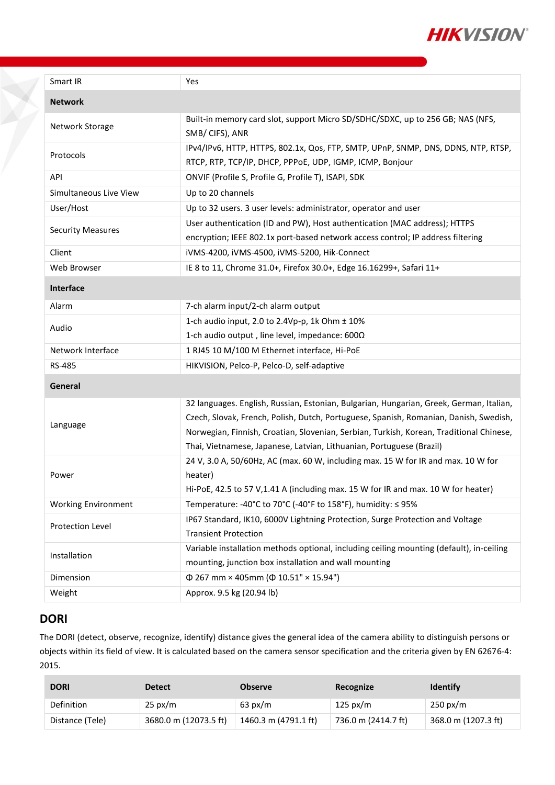

| Smart IR                   | Yes                                                                                                                                                                                                                                                                                                                                                 |  |  |  |
|----------------------------|-----------------------------------------------------------------------------------------------------------------------------------------------------------------------------------------------------------------------------------------------------------------------------------------------------------------------------------------------------|--|--|--|
| <b>Network</b>             |                                                                                                                                                                                                                                                                                                                                                     |  |  |  |
| Network Storage            | Built-in memory card slot, support Micro SD/SDHC/SDXC, up to 256 GB; NAS (NFS,<br>SMB/CIFS), ANR                                                                                                                                                                                                                                                    |  |  |  |
| Protocols                  | IPv4/IPv6, HTTP, HTTPS, 802.1x, Qos, FTP, SMTP, UPnP, SNMP, DNS, DDNS, NTP, RTSP,<br>RTCP, RTP, TCP/IP, DHCP, PPPoE, UDP, IGMP, ICMP, Bonjour                                                                                                                                                                                                       |  |  |  |
| API                        | ONVIF (Profile S, Profile G, Profile T), ISAPI, SDK                                                                                                                                                                                                                                                                                                 |  |  |  |
| Simultaneous Live View     | Up to 20 channels                                                                                                                                                                                                                                                                                                                                   |  |  |  |
| User/Host                  | Up to 32 users. 3 user levels: administrator, operator and user                                                                                                                                                                                                                                                                                     |  |  |  |
| <b>Security Measures</b>   | User authentication (ID and PW), Host authentication (MAC address); HTTPS<br>encryption; IEEE 802.1x port-based network access control; IP address filtering                                                                                                                                                                                        |  |  |  |
| Client                     | iVMS-4200, iVMS-4500, iVMS-5200, Hik-Connect                                                                                                                                                                                                                                                                                                        |  |  |  |
| Web Browser                | IE 8 to 11, Chrome 31.0+, Firefox 30.0+, Edge 16.16299+, Safari 11+                                                                                                                                                                                                                                                                                 |  |  |  |
| Interface                  |                                                                                                                                                                                                                                                                                                                                                     |  |  |  |
| Alarm                      | 7-ch alarm input/2-ch alarm output                                                                                                                                                                                                                                                                                                                  |  |  |  |
| Audio                      | 1-ch audio input, 2.0 to 2.4Vp-p, 1k Ohm ± 10%<br>1-ch audio output, line level, impedance: 600Ω                                                                                                                                                                                                                                                    |  |  |  |
| Network Interface          | 1 RJ45 10 M/100 M Ethernet interface, Hi-PoE                                                                                                                                                                                                                                                                                                        |  |  |  |
| <b>RS-485</b>              | HIKVISION, Pelco-P, Pelco-D, self-adaptive                                                                                                                                                                                                                                                                                                          |  |  |  |
| General                    |                                                                                                                                                                                                                                                                                                                                                     |  |  |  |
| Language                   | 32 languages. English, Russian, Estonian, Bulgarian, Hungarian, Greek, German, Italian,<br>Czech, Slovak, French, Polish, Dutch, Portuguese, Spanish, Romanian, Danish, Swedish,<br>Norwegian, Finnish, Croatian, Slovenian, Serbian, Turkish, Korean, Traditional Chinese,<br>Thai, Vietnamese, Japanese, Latvian, Lithuanian, Portuguese (Brazil) |  |  |  |
| Power                      | 24 V, 3.0 A, 50/60Hz, AC (max. 60 W, including max. 15 W for IR and max. 10 W for<br>heater)<br>Hi-PoE, 42.5 to 57 V, 1.41 A (including max. 15 W for IR and max. 10 W for heater)                                                                                                                                                                  |  |  |  |
| <b>Working Environment</b> | Temperature: -40°C to 70°C (-40°F to 158°F), humidity: ≤ 95%                                                                                                                                                                                                                                                                                        |  |  |  |
| Protection Level           | IP67 Standard, IK10, 6000V Lightning Protection, Surge Protection and Voltage<br><b>Transient Protection</b>                                                                                                                                                                                                                                        |  |  |  |
| Installation               | Variable installation methods optional, including ceiling mounting (default), in-ceiling<br>mounting, junction box installation and wall mounting                                                                                                                                                                                                   |  |  |  |
| Dimension                  | $\Phi$ 267 mm × 405mm ( $\Phi$ 10.51" × 15.94")                                                                                                                                                                                                                                                                                                     |  |  |  |
| Weight                     | Approx. 9.5 kg (20.94 lb)                                                                                                                                                                                                                                                                                                                           |  |  |  |

### **DORI**

Y.

The DORI (detect, observe, recognize, identify) distance gives the general idea of the camera ability to distinguish persons or objects within its field of view. It is calculated based on the camera sensor specification and the criteria given by EN 62676-4: 2015.

| <b>DORI</b>     | <b>Detect</b>         | <b>Observe</b>       | Recognize           | <b>Identify</b>     |
|-----------------|-----------------------|----------------------|---------------------|---------------------|
| Definition      | $25 \text{ px/m}$     | $63 \text{ px/m}$    | $125 \text{ px/m}$  | $250 \text{ px/m}$  |
| Distance (Tele) | 3680.0 m (12073.5 ft) | 1460.3 m (4791.1 ft) | 736.0 m (2414.7 ft) | 368.0 m (1207.3 ft) |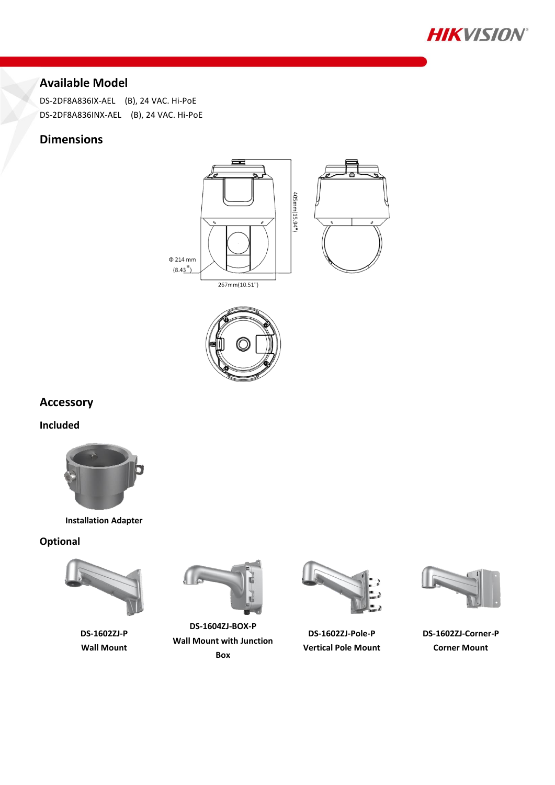

# **Available Model**

DS-2DF8A836IX-AEL (B), 24 VAC. Hi-PoE DS-2DF8A836INX-AEL (B), 24 VAC. Hi-PoE

### **Dimensions**





**Accessory**

**Included**



**Installation Adapter**

#### **Optional**



**DS-1602ZJ-P Wall Mount**



**DS-1604ZJ-BOX-P Wall Mount with Junction Box**



**DS-1602ZJ-Pole-P Vertical Pole Mount**



**DS-1602ZJ-Corner-P Corner Mount**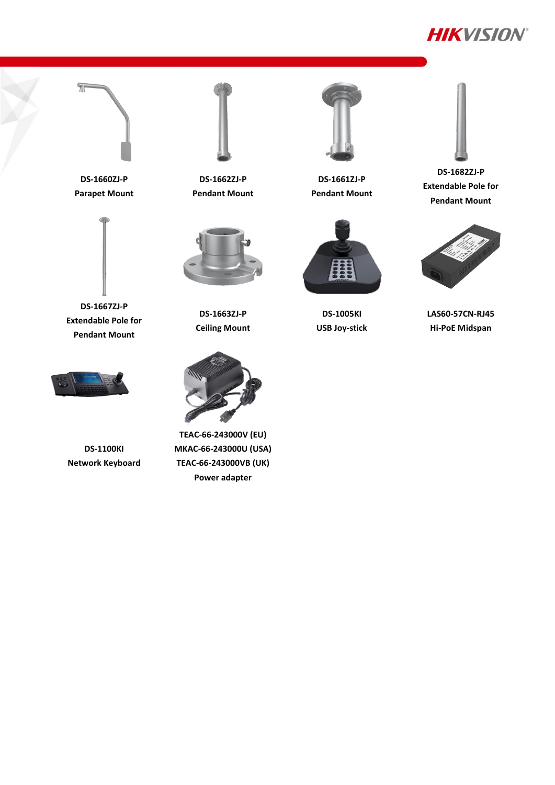



**DS-1660ZJ-P Parapet Mount**

 $\overline{\pi}$ 



**DS-1667ZJ-P Extendable Pole for Pendant Mount**



**DS-1662ZJ-P Pendant Mount**



**DS-1663ZJ-P Ceiling Mount**



**TEAC-66-243000V (EU) MKAC-66-243000U (USA) TEAC-66-243000VB (UK) Power adapter**



**DS-1661ZJ-P Pendant Mount**



**DS-1005KI USB Joy-stick**



**DS-1682ZJ-P Extendable Pole for Pendant Mount**



**LAS60-57CN-RJ45 Hi-PoE Midspan**



**DS-1100KI Network Keyboard**